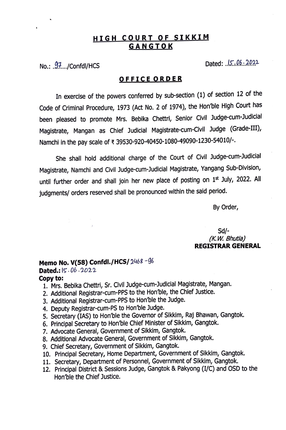# **HIGH COURT OF SIKKIM GANGTOK**

 $No.: .97... / ConfdI/HCS$  Dated: ...  $15.06...2022$ 

### **0 F F IC E O R D E R**

In exercise of the powers conferred by sub-section (1) of section 12 of the Code of Criminal Procedure, 1973 (Act No. 2 of 1974), the Hon'ble High Court has been pleased to promote Mrs. Bebika Chettri, Senior Civil Judge-cum-Judicial Magistrate, Mangan as Chief Judicial Magistrate-cum-Civil Judge (Grade-III), Namchi in the pay scale of ₹ 39530-920-40450-1080-49090-1230-54010/-.

She shall hold additional charge of the Court of Civil Judge-cum-Judicial Magistrate, Namchi and Civil Judge-cum-Judicial Magistrate, Yangang Sub-Division, until further order and shall join her new place of posting on 1st July, 2022. All judgments/ orders reserved shall be pronounced within the said period.

By Order,

## Sd/- *(K. W. Bhutia)*  **REGISTRAR GENERAL**

# **Memo No. V(SS) Confdl./HCS/** 246& *-96*

**Dated.:**  $|5 \cdot 0b \cdot 2022|$ 

#### **Copy to:**

- 1. Mrs. Bebika Chettri, Sr. Civil Judge-cum-Judicial Magistrate, Mangan.
- 2. Additional Registrar-cum-PPS to the Hon'ble, the Chief Justice.
- 3. Additional Registrar-cum-PPS to Hon'ble the Judge.
- 4. Deputy Registrar-cum-PS to Hon'ble Judge.
- 5. Secretary (IAS) to Hon'ble the Governor of Sikkim, Raj Bhawan, Gangtok.
- 6. Principal Secretary to Hon'ble Chief Minister of Sikkim, Gangtok.
- 7. Advocate General, Government of Sikkim, Gangtok.
- 8. Additional Advocate General, Government of Sikkim, Gangtok.
- 9. Chief Secretary, Government of Sikkim, Gangtok.
- 10. Principal Secretary, Home Department, Government of Sikkim, Gangtok.
- 11. Secretary, Department of Personnel, Government of Sikkim, Gangtok.
- 12. Principal District & Sessions Judge, Gangtok & Pakyong (I/C) and OSD to the Hon'ble the Chief Justice.